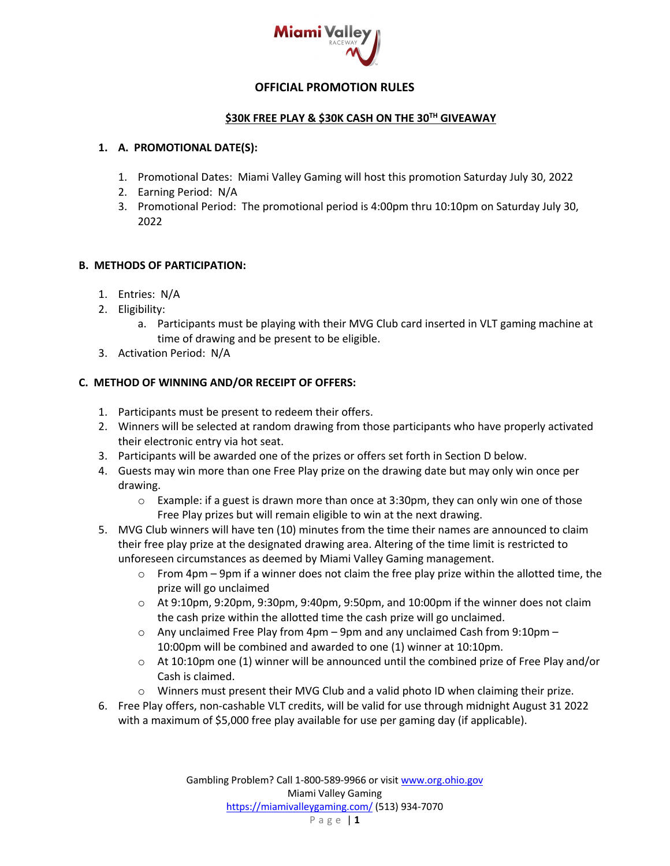

## **OFFICIAL PROMOTION RULES**

### **\$30K FREE PLAY & \$30K CASH ON THE 30TH GIVEAWAY**

### **1. A. PROMOTIONAL DATE(S):**

- 1. Promotional Dates: Miami Valley Gaming will host this promotion Saturday July 30, 2022
- 2. Earning Period: N/A
- 3. Promotional Period: The promotional period is 4:00pm thru 10:10pm on Saturday July 30, 2022

### **B. METHODS OF PARTICIPATION:**

- 1. Entries: N/A
- 2. Eligibility:
	- a. Participants must be playing with their MVG Club card inserted in VLT gaming machine at time of drawing and be present to be eligible.
- 3. Activation Period: N/A

### **C. METHOD OF WINNING AND/OR RECEIPT OF OFFERS:**

- 1. Participants must be present to redeem their offers.
- 2. Winners will be selected at random drawing from those participants who have properly activated their electronic entry via hot seat.
- 3. Participants will be awarded one of the prizes or offers set forth in Section D below.
- 4. Guests may win more than one Free Play prize on the drawing date but may only win once per drawing.
	- $\circ$  Example: if a guest is drawn more than once at 3:30pm, they can only win one of those Free Play prizes but will remain eligible to win at the next drawing.
- 5. MVG Club winners will have ten (10) minutes from the time their names are announced to claim their free play prize at the designated drawing area. Altering of the time limit is restricted to unforeseen circumstances as deemed by Miami Valley Gaming management.
	- $\circ$  From 4pm 9pm if a winner does not claim the free play prize within the allotted time, the prize will go unclaimed
	- $\circ$  At 9:10pm, 9:20pm, 9:30pm, 9:40pm, 9:50pm, and 10:00pm if the winner does not claim the cash prize within the allotted time the cash prize will go unclaimed.
	- $\circ$  Any unclaimed Free Play from 4pm 9pm and any unclaimed Cash from 9:10pm 10:00pm will be combined and awarded to one (1) winner at 10:10pm.
	- $\circ$  At 10:10pm one (1) winner will be announced until the combined prize of Free Play and/or Cash is claimed.
	- o Winners must present their MVG Club and a valid photo ID when claiming their prize.
- 6. Free Play offers, non-cashable VLT credits, will be valid for use through midnight August 31 2022 with a maximum of \$5,000 free play available for use per gaming day (if applicable).